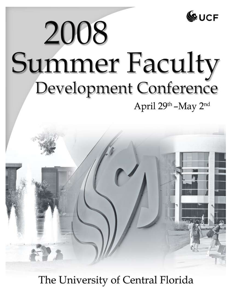

# 2008 **Summer Faculty** Development Conference April 29th - May 2nd



The University of Central Florida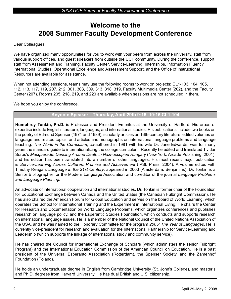## **Welcome to the 2008 Summer Faculty Development Conference**

Dear Colleagues:

We have organized many opportunities for you to work with your peers from across the university, staff from various support offices, and guest speakers from outside the UCF community. During the conference, support staff from Assessment and Planning, Faculty Center, Service-Learning, Internships, Information Fluency, International Studies, Operational Excellence and Assessment Support, and the Office of Instructional Resources are available for assistance.

When not attending sessions, teams may use the following rooms to work on projects: CL1-103, 104, 105, 112, 113, 117, 119, 207, 212, 301, 303, 309, 313, 318, 319, Faculty Multimedia Center (202), and the Faculty Center (207). Rooms 205, 218, 219, and 220 are available when sessions are not scheduled in them.

We hope you enjoy the conference.

#### **Keynote Speaker—Thursday, April 29th 9:15–10:15 CL1-104**

**Humphrey Tonkin, Ph.D.** is Professor and President Emeritus at the University of Hartford. His areas of expertise include English literature, languages, and international studies. His publications include two books on the poetry of Edmund Spenser (1971 and 1989), scholarly articles on 16th-century literature, edited volumes on language and related topics, and articles and monographs on international language problems and language teaching. *The World in the Curriculum*, co-authored in 1981 with his wife Dr. Jane Edwards, was for many years the standard guide to internationalizing the college curriculum. Recently he edited and translated Tividar Soros's *Masquerade: Dancing Around Death in Nazi-occupied Hungary* (New York: Arcade Publishing, 2001), and his edition has been translated into a number of other languages. His most recent major publication is *Service-Learning Across Cultures: Promise and Achievement* (IPSL Press, 2004). A volume edited with Timothy Reagan, *Language in the 21st Century*, appeared in 2003 (Amsterdam: Benjamins). Dr. Tonkin is a Senior Bibliographer for the Modern Language Association and co-editor of the journal *Language Problems and Language Planning*.

An advocate of international cooperation and international studies, Dr. Tonkin is former chair of the Foundation for Educational Exchange between Canada and the United States (the Canadian Fulbright Commission). He has also chaired the American Forum for Global Education and serves on the board of World Learning, which operates the School for International Training and the Experiment in International Living. He chairs the Center for Research and Documentation on World Language Problems, which organizes conferences and publishes research on language policy, and the Esperantic Studies Foundation, which conducts and supports research on international language issues. He is a member of the National Council of the United Nations Association of the USA, and he was named to the Honorary Committee for the program *2005: The Year of Languages*. He is currently vice-president for research and evaluation for the International Partnership for Service-Learning and Leadership (which supports the linkage of international study and community service).

He has chaired the Council for International Exchange of Scholars (which administers the senior Fulbright Program) and the International Education Commission of the American Council on Education. He is a past president of the Universal Esperanto Association (Rotterdam), the Spenser Society, and the Zamenhof Foundation (Poland).

He holds an undergraduate degree in English from Cambridge University (St. John's College), and master's and Ph.D. degrees from Harvard University. He has dual British and U.S. citizenship.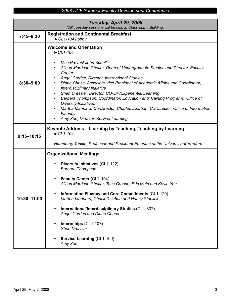| Tuesday, April 29, 2008<br>*All Tuesday sessions will be held in Classroom I Building. |                                                                                                                                                                                                                                                                                                                                                                                                                                                                                                                                                                                                                                                                                                    |
|----------------------------------------------------------------------------------------|----------------------------------------------------------------------------------------------------------------------------------------------------------------------------------------------------------------------------------------------------------------------------------------------------------------------------------------------------------------------------------------------------------------------------------------------------------------------------------------------------------------------------------------------------------------------------------------------------------------------------------------------------------------------------------------------------|
| $7:45 - 8:30$                                                                          | <b>Registration and Continental Breakfast</b><br>$\blacktriangleright$ CL1-104 Lobby                                                                                                                                                                                                                                                                                                                                                                                                                                                                                                                                                                                                               |
| $8:30 - 9:00$                                                                          | <b>Welcome and Orientation</b><br>$\blacktriangleright$ CL1-104<br><b>Vice Provost John Schell</b><br>Alison Morrison-Shetlar, Dean of Undergraduate Studies and Director, Faculty<br>Center<br>Angel Cardec, Director, International Studies<br>Diane Chase, Associate Vice President of Academic Affairs and Coordinator,<br>Interdisciplinary Initiative<br>Sheri Dressler, Director, CO-OP/Experiential Learning<br>$\bullet$<br>Barbara Thompson, Coordinator, Education and Training Programs, Office of<br>$\bullet$<br><b>Diversity Initiatives</b><br>Martha Marinara, Co-Director, Charles Dziuban, Co-Director, Office of Information<br>Fluency<br>Amy Zeh, Director, Service-Learning |
| $9:15 - 10:15$                                                                         | Keynote Address-Learning by Teaching, Teaching by Learning<br>$\blacktriangleright$ CL1-104<br>Humphrey Tonkin, Professor and President Emeritus at the University of Hartford                                                                                                                                                                                                                                                                                                                                                                                                                                                                                                                     |
| 10:30-11:00                                                                            | <b>Organizational Meetings</b><br><b>Diversity Initiatives (CL1-122)</b><br>$\bullet$<br><b>Barbara Thompson</b><br>Faculty Center (CL1-104)<br>Alison Morrison-Shetlar, Tace Crouse, Eric Main and Kevin Yee<br><b>Information Fluency and Core Commitments (CL1-120)</b><br>$\bullet$<br>Martha Marinara, Chuck Dziuban and Nancy Stanlick<br>International/Interdisciplinary Studies (CL1-307)<br>$\bullet$<br><b>Angel Cardec and Diane Chase</b><br>Internships (CL1-107)<br>$\bullet$<br><b>Sheri Dressler</b><br>Service-Learning (CL1-109)<br>$\bullet$<br>Amy Zeh                                                                                                                         |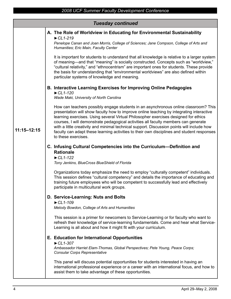|                 | <b>Tuesday continued</b>                                                                                                                                                                                                                                                                                                                                                                                                                                                                                                                                                         |
|-----------------|----------------------------------------------------------------------------------------------------------------------------------------------------------------------------------------------------------------------------------------------------------------------------------------------------------------------------------------------------------------------------------------------------------------------------------------------------------------------------------------------------------------------------------------------------------------------------------|
|                 | A. The Role of Worldview in Educating for Environmental Sustainability<br>$\blacktriangleright$ CL1-219<br>Penelope Canan and Joan Morris, College of Sciences; Jane Compson, College of Arts and<br>Humanities; Eric Main, Faculty Center                                                                                                                                                                                                                                                                                                                                       |
|                 | It is important for students to understand that all knowledge is relative to a larger system<br>of meaning—and that "meaning" is socially constructed. Concepts such as "worldview,"<br>"cultural relativity," and "ethnocentrism" are important ones for students. These provide<br>the basis for understanding that "environmental worldviews" are also defined within<br>particular systems of knowledge and meaning.                                                                                                                                                         |
|                 | <b>B. Interactive Learning Exercises for Improving Online Pedagogies</b><br>$\blacktriangleright$ CL1-120<br>Wade Maki, University of North Carolina                                                                                                                                                                                                                                                                                                                                                                                                                             |
| $11:15 - 12:15$ | How can teachers possibly engage students in an asynchronous online classroom? This<br>presentation will show faculty how to improve online teaching by integrating interactive<br>learning exercises. Using several Virtual Philosopher exercises designed for ethics<br>courses, I will demonstrate pedagogical activities all faculty members can generate<br>with a little creativity and minimal technical support. Discussion points will include how<br>faculty can adapt these learning activities to their own disciplines and student responses<br>to these exercises. |
|                 | C. Infusing Cultural Competencies into the Curriculum-Definition and<br><b>Rationale</b><br>$\blacktriangleright$ CL1-122<br>Tony Jenkins, BlueCross BlueShield of Florida                                                                                                                                                                                                                                                                                                                                                                                                       |
|                 | Organizations today emphasize the need to employ "culturally competent" individuals.<br>This session defines "cultural competency" and details the importance of educating and<br>training future employees who will be competent to successfully lead and effectively<br>participate in multicultural work groups.                                                                                                                                                                                                                                                              |
|                 | D. Service-Learning: Nuts and Bolts<br>$\blacktriangleright$ CL1-109                                                                                                                                                                                                                                                                                                                                                                                                                                                                                                             |
|                 | Melody Bowdon, College of Arts and Humanities                                                                                                                                                                                                                                                                                                                                                                                                                                                                                                                                    |
|                 | This session is a primer for new comers to Service-Learning or for faculty who want to<br>refresh their knowledge of service-learning fundamentals. Come and hear what Service-<br>Learning is all about and how it might fit with your curriculum.                                                                                                                                                                                                                                                                                                                              |
|                 | E. Education for International Opportunities                                                                                                                                                                                                                                                                                                                                                                                                                                                                                                                                     |
|                 | $\blacktriangleright$ CL1-307<br>Ambassador Harriet Elam-Thomas, Global Perspectives; Pete Young, Peace Corps;<br><b>Consular Corps Representative</b>                                                                                                                                                                                                                                                                                                                                                                                                                           |
|                 | This panel will discuss potential opportunities for students interested in having an<br>international professional experience or a career with an international focus, and how to<br>assist them to take advantage of these opportunities.                                                                                                                                                                                                                                                                                                                                       |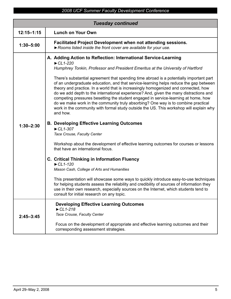|                | <b>Tuesday continued</b>                                                                                                                                                                                                                                                                                                                                                                                                                                                                                                                                                                                                                                                                                                                                                                                                                                                                                                                                                                                                                                                                                                                                                                                                                                                                                                                                                                                                                                                                                                                             |
|----------------|------------------------------------------------------------------------------------------------------------------------------------------------------------------------------------------------------------------------------------------------------------------------------------------------------------------------------------------------------------------------------------------------------------------------------------------------------------------------------------------------------------------------------------------------------------------------------------------------------------------------------------------------------------------------------------------------------------------------------------------------------------------------------------------------------------------------------------------------------------------------------------------------------------------------------------------------------------------------------------------------------------------------------------------------------------------------------------------------------------------------------------------------------------------------------------------------------------------------------------------------------------------------------------------------------------------------------------------------------------------------------------------------------------------------------------------------------------------------------------------------------------------------------------------------------|
| $12:15 - 1:15$ | <b>Lunch on Your Own</b>                                                                                                                                                                                                                                                                                                                                                                                                                                                                                                                                                                                                                                                                                                                                                                                                                                                                                                                                                                                                                                                                                                                                                                                                                                                                                                                                                                                                                                                                                                                             |
| $1:30 - 5:00$  | <b>Facilitated Project Development when not attending sessions.</b><br>Rooms listed inside the front cover are available for your use.                                                                                                                                                                                                                                                                                                                                                                                                                                                                                                                                                                                                                                                                                                                                                                                                                                                                                                                                                                                                                                                                                                                                                                                                                                                                                                                                                                                                               |
| $1:30 - 2:30$  | A. Adding Action to Reflection: International Service-Learning<br>$\blacktriangleright$ CL1-220<br>Humphrey Tonkin, Professor and President Emeritus at the University of Hartford<br>There's substantial agreement that spending time abroad is a potentially important part<br>of an undergraduate education, and that service-learning helps reduce the gap between<br>theory and practice. In a world that is increasingly homogenized and connected, how<br>do we add depth to the international experience? And, given the many distractions and<br>competing pressures besetting the student engaged in service-learning at home, how<br>do we make work in the community truly absorbing? One way is to combine practical<br>work in the community with formal study outside the US. This workshop will explain why<br>and how.<br><b>B. Developing Effective Learning Outcomes</b><br>$\blacktriangleright$ CL1-307<br>Tace Crouse, Faculty Center<br>Workshop about the development of effective learning outcomes for courses or lessons<br>that have an international focus.<br>C. Critical Thinking in Information Fluency<br>$\blacktriangleright$ CL1-120<br>Mason Cash, College of Arts and Humanities<br>This presentation will showcase some ways to quickly introduce easy-to-use techniques<br>for helping students assess the reliability and credibility of sources of information they<br>use in their own research, especially sources on the Internet, which students tend to<br>consult for initial research on any topic. |
| $2:45 - 3:45$  | <b>Developing Effective Learning Outcomes</b><br>$\blacktriangleright$ CL1-218<br>Tace Crouse, Faculty Center<br>Focus on the development of appropriate and effective learning outcomes and their<br>corresponding assessment strategies.                                                                                                                                                                                                                                                                                                                                                                                                                                                                                                                                                                                                                                                                                                                                                                                                                                                                                                                                                                                                                                                                                                                                                                                                                                                                                                           |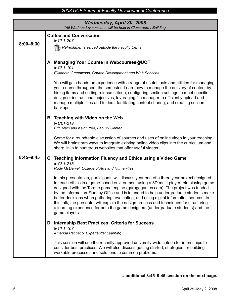| Wednesday, April 30, 2008<br>*All Wednesday sessions will be held in Classroom I Building. |                                                                                                                                                                                                                                                                                                                                                                                                                                                                                                                                                                                                                                                                                                                                                                                                                                                                                                                                                                                                                                                                                                                                                                                                                                                                                                                                                                                                                                                                                                                                                                                                                                                                                                                                                                                                                                                                                                                                           |
|--------------------------------------------------------------------------------------------|-------------------------------------------------------------------------------------------------------------------------------------------------------------------------------------------------------------------------------------------------------------------------------------------------------------------------------------------------------------------------------------------------------------------------------------------------------------------------------------------------------------------------------------------------------------------------------------------------------------------------------------------------------------------------------------------------------------------------------------------------------------------------------------------------------------------------------------------------------------------------------------------------------------------------------------------------------------------------------------------------------------------------------------------------------------------------------------------------------------------------------------------------------------------------------------------------------------------------------------------------------------------------------------------------------------------------------------------------------------------------------------------------------------------------------------------------------------------------------------------------------------------------------------------------------------------------------------------------------------------------------------------------------------------------------------------------------------------------------------------------------------------------------------------------------------------------------------------------------------------------------------------------------------------------------------------|
| $8:00 - 8:30$                                                                              | <b>Coffee and Conversation</b><br>$\blacktriangleright$ CL1-207<br><b>h</b> Refreshments served outside the Faculty Center                                                                                                                                                                                                                                                                                                                                                                                                                                                                                                                                                                                                                                                                                                                                                                                                                                                                                                                                                                                                                                                                                                                                                                                                                                                                                                                                                                                                                                                                                                                                                                                                                                                                                                                                                                                                                |
| $8:45 - 9:45$                                                                              | A. Managing Your Course in Webcourses@UCF<br>$\blacktriangleright$ CL1-101<br>Elisabeth Greenwood, Course Development and Web Services<br>You will gain hands-on experience with a range of useful tools and utilities for managing<br>your course throughout the semester. Learn how to manage the delivery of content by<br>hiding items and setting release criteria, configuring section settings to meet specific<br>design or instructional objectives, leveraging file manager to efficiently upload and<br>manage multiple files and folders, facilitating content sharing, and creating section<br>backups.<br>B. Teaching with Video on the Web<br>$\blacktriangleright$ CL1-219<br>Eric Main and Kevin Yee, Faculty Center<br>Come for a roundtable discussion of sources and uses of online video in your teaching.<br>We will brainstorm ways to integrate existing online video clips into the curriculum and<br>share links to numerous websites that offer useful videos.<br>C. Teaching Information Fluency and Ethics using a Video Game<br>$\blacktriangleright$ CL1-218<br>Rudy McDaniel, College of Arts and Humanities<br>In this presentation, participants will discuss year one of a three year project designed<br>to teach ethics in a game-based environment using a 3D multi-player role playing game<br>designed with the Torque game engine (garagegames.com). The project was funded<br>by the Information Fluency Office and is intended to help undergraduate students make<br>better decisions when gathering, evaluating, and using digital information sources. In<br>this talk, the presenter will explain the design process and techniques for structuring<br>a learning experience for both the game designers (undergraduate students) and the<br>game players.<br>D. Internship Best Practices: Criteria for Success<br>$\blacktriangleright$ CL1-107<br>Amanda Pacheco, Experiential Learning |
|                                                                                            | This session will use the recently approved university-wide criteria for internships to<br>consider best practices. We will also discuss getting started, strategies for building<br>workable processes and solutions to common problems.                                                                                                                                                                                                                                                                                                                                                                                                                                                                                                                                                                                                                                                                                                                                                                                                                                                                                                                                                                                                                                                                                                                                                                                                                                                                                                                                                                                                                                                                                                                                                                                                                                                                                                 |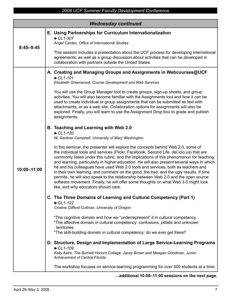|               | <b>Wednesday continued</b>                                                                                                                                                                                                                                                                                                                                                                                                                                                                                                                                                                                                                                                                                                                                                                                                                                                                                                                                                                                                                                                                                                                                                                                                                                                                                                                                                                                                                                                                                                                                                                                                                                                                                                                                                                                                                                                                                                                                                                                                                                                      |
|---------------|---------------------------------------------------------------------------------------------------------------------------------------------------------------------------------------------------------------------------------------------------------------------------------------------------------------------------------------------------------------------------------------------------------------------------------------------------------------------------------------------------------------------------------------------------------------------------------------------------------------------------------------------------------------------------------------------------------------------------------------------------------------------------------------------------------------------------------------------------------------------------------------------------------------------------------------------------------------------------------------------------------------------------------------------------------------------------------------------------------------------------------------------------------------------------------------------------------------------------------------------------------------------------------------------------------------------------------------------------------------------------------------------------------------------------------------------------------------------------------------------------------------------------------------------------------------------------------------------------------------------------------------------------------------------------------------------------------------------------------------------------------------------------------------------------------------------------------------------------------------------------------------------------------------------------------------------------------------------------------------------------------------------------------------------------------------------------------|
| $8:45 - 9:45$ | E. Using Partnerships for Curriculum Internationalization<br>$\blacktriangleright$ CL1-307<br>Angel Cardec, Office of International Studies                                                                                                                                                                                                                                                                                                                                                                                                                                                                                                                                                                                                                                                                                                                                                                                                                                                                                                                                                                                                                                                                                                                                                                                                                                                                                                                                                                                                                                                                                                                                                                                                                                                                                                                                                                                                                                                                                                                                     |
|               | This session includes a presentation about the UCF process for developing international<br>agreements, as well as a group discussion about activities that can be developed in<br>collaboration with partners outside the United States.                                                                                                                                                                                                                                                                                                                                                                                                                                                                                                                                                                                                                                                                                                                                                                                                                                                                                                                                                                                                                                                                                                                                                                                                                                                                                                                                                                                                                                                                                                                                                                                                                                                                                                                                                                                                                                        |
| 10:00-11:00   | A. Creating and Managing Groups and Assignments in Webcourses@UCF<br>$\blacktriangleright$ CL1-101<br>Elisabeth Greenwood, Course Development and Web Services<br>You will use the Group Manager tool to create groups, sign-up sheets, and group<br>activities. You will also become familiar with the Assignments tool and how it can be<br>used to create individual or group assignments that can be submitted as text with<br>attachments, or as a web site. Collaboration options for assignments will also be<br>explored. Finally, you will learn to use the Assignment Drop box to grade and publish<br>assignments.<br>B. Teaching and Learning with Web 2.0<br>$\blacktriangleright$ CL1-120<br>W. Gardner Campbell, University of Mary Washington<br>In this seminar, the presenter will explore the concepts behind Web 2.0, some of<br>the individual tools and services (Flickr, Facebook, Second Life, del.icio.us) that are<br>commonly listed under this rubric, and the implications of this phenomenon for teaching<br>and learning, particularly in higher education. He will also present several ways in which<br>he and his colleagues have used Web 2.0 tools and services, both as teachers and<br>in their own learning, and comment on the good, the bad, and the ugly results. If time<br>permits, he will also speak to the relationship between Web 2.0 and the open source<br>software movement. Finally, he will offer some thoughts on what Web 3.0 might look<br>like, and why educators should care.<br>C. The Three Domains of Learning and Cultural Competency (Part 1)<br>$\blacktriangleright$ CL1-122<br>Cristine Clifford Cullinan, University of Oregon<br>*The cognitive domain and how we "underrepresent" it in cultural competency.<br>*The affective domain in cultural competency: confusions, pitfalls and unknown<br>territories.<br>*The skill-building domain in cultural competency: do we ever get there?<br>D. Structure, Design and Implementation of Large Service-Learning Programs<br>$\blacktriangleright$ CL1-109 |
|               | Kelly Astro, The Burnett Honors College; Jacey Brown and Meagan Goodman, Junior<br><b>Achievement of Central Florida</b><br>The workshop focuses on service-learning programming for over 500 students at a time.                                                                                                                                                                                                                                                                                                                                                                                                                                                                                                                                                                                                                                                                                                                                                                                                                                                                                                                                                                                                                                                                                                                                                                                                                                                                                                                                                                                                                                                                                                                                                                                                                                                                                                                                                                                                                                                               |

## **…additional 10:00–11:00 sessions on the next page.**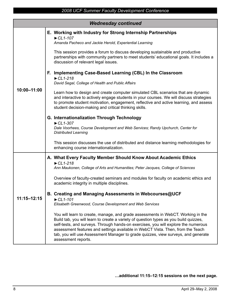|                 | <b>Wednesday continued</b> |                                                                                                                                                                                                                                                                                                                                                                                                                                                                |  |
|-----------------|----------------------------|----------------------------------------------------------------------------------------------------------------------------------------------------------------------------------------------------------------------------------------------------------------------------------------------------------------------------------------------------------------------------------------------------------------------------------------------------------------|--|
| 10:00-11:00     |                            | E. Working with Industry for Strong Internship Partnerships<br>$\blacktriangleright$ CL1-107<br>Amanda Pacheco and Jackie Herold, Experiential Learning                                                                                                                                                                                                                                                                                                        |  |
|                 |                            | This session provides a forum to discuss developing sustainable and productive<br>partnerships with community partners to meet students' educational goals. It includes a<br>discussion of relevant legal issues.                                                                                                                                                                                                                                              |  |
|                 |                            | F. Implementing Case-Based Learning (CBL) In the Classroom<br>$\blacktriangleright$ CL1-218<br>David Segal, College of Health and Public Affairs                                                                                                                                                                                                                                                                                                               |  |
|                 |                            | Learn how to design and create computer simulated CBL scenarios that are dynamic<br>and interactive to actively engage students in your courses. We will discuss strategies<br>to promote student motivation, engagement, reflective and active learning, and assess<br>student decision-making and critical thinking skills.                                                                                                                                  |  |
|                 |                            | G. Internationalization Through Technology<br>$\blacktriangleright$ CL1-307<br>Dale Voorhees, Course Development and Web Services; Randy Upchurch, Center for<br><b>Distributed Learning</b>                                                                                                                                                                                                                                                                   |  |
|                 |                            | This session discusses the use of distributed and distance learning methodologies for<br>enhancing course internationalization.                                                                                                                                                                                                                                                                                                                                |  |
|                 |                            | A. What Every Faculty Member Should Know About Academic Ethics                                                                                                                                                                                                                                                                                                                                                                                                 |  |
|                 |                            | $\blacktriangleright$ CL1-218<br>Ann Maukonen, College of Arts and Humanities; Peter Jacques, College of Sciences                                                                                                                                                                                                                                                                                                                                              |  |
| $11:15 - 12:15$ |                            | Overview of faculty-created seminars and modules for faculty on academic ethics and<br>academic integrity in multiple disciplines.                                                                                                                                                                                                                                                                                                                             |  |
|                 |                            | B. Creating and Managing Assessments in Webcourses@UCF<br>$\blacktriangleright$ CL1-101<br>Elisabeth Greenwood, Course Development and Web Services                                                                                                                                                                                                                                                                                                            |  |
|                 |                            | You will learn to create, manage, and grade assessments in WebCT. Working in the<br>Build tab, you will learn to create a variety of question types as you build quizzes,<br>self-tests, and surveys. Through hands-on exercises, you will explore the numerous<br>assessment features and settings available in WebCT Vista. Then, from the Teach<br>tab, you will use Assessment Manager to grade quizzes, view surveys, and generate<br>assessment reports. |  |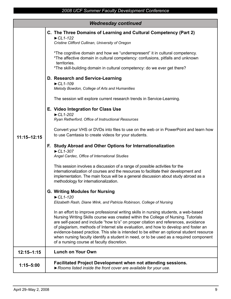| <b>Wednesday continued</b> |                                                                                                                                                                                                                                                                                                                                                                                                                                                                                                                                                                                                                                                                       |  |
|----------------------------|-----------------------------------------------------------------------------------------------------------------------------------------------------------------------------------------------------------------------------------------------------------------------------------------------------------------------------------------------------------------------------------------------------------------------------------------------------------------------------------------------------------------------------------------------------------------------------------------------------------------------------------------------------------------------|--|
| $11:15 - 12:15$            | C. The Three Domains of Learning and Cultural Competency (Part 2)<br>$\blacktriangleright$ CL1-122<br>Cristine Clifford Cullinan, University of Oregon                                                                                                                                                                                                                                                                                                                                                                                                                                                                                                                |  |
|                            | *The cognitive domain and how we "underrepresent" it in cultural competency.<br>*The affective domain in cultural competency: confusions, pitfalls and unknown<br>territories.<br>*The skill-building domain in cultural competency: do we ever get there?                                                                                                                                                                                                                                                                                                                                                                                                            |  |
|                            | D. Research and Service-Learning<br>$\blacktriangleright$ CL1-109<br>Melody Bowdon, College of Arts and Humanities                                                                                                                                                                                                                                                                                                                                                                                                                                                                                                                                                    |  |
|                            | The session will explore current research trends in Service-Learning.<br>E. Video Integration for Class Use<br>$\blacktriangleright$ CL1-202                                                                                                                                                                                                                                                                                                                                                                                                                                                                                                                          |  |
|                            | Ryan Retherford, Office of Instructional Resources<br>Convert your VHS or DVDs into files to use on the web or in PowerPoint and learn how<br>to use Camtasia to create videos for your students.                                                                                                                                                                                                                                                                                                                                                                                                                                                                     |  |
|                            | F. Study Abroad and Other Options for Internationalization<br>$\blacktriangleright$ CL1-307<br>Angel Cardec, Office of International Studies                                                                                                                                                                                                                                                                                                                                                                                                                                                                                                                          |  |
|                            | This session involves a discussion of a range of possible activities for the<br>internationalization of courses and the resources to facilitate their development and<br>implementation. The main focus will be a general discussion about study abroad as a<br>methodology for internationalization.                                                                                                                                                                                                                                                                                                                                                                 |  |
|                            | <b>G. Writing Modules for Nursing</b><br>$\blacktriangleright$ CL1-120                                                                                                                                                                                                                                                                                                                                                                                                                                                                                                                                                                                                |  |
|                            | Elizabeth Rash, Diane Wink, and Patricia Robinson, College of Nursing<br>In an effort to improve professional writing skills in nursing students, a web-based<br>Nursing Writing Skills course was created within the College of Nursing. Tutorials<br>are self-paced and include "how to's" on proper citation and references, avoidance<br>of plagiarism, methods of Internet site evaluation, and how to develop and foster an<br>evidence-based practice. This site is intended to be either an optional student resource<br>when nursing faculty identify a student in need, or to be used as a required component<br>of a nursing course at faculty discretion. |  |
| $12:15 - 1:15$             | <b>Lunch on Your Own</b>                                                                                                                                                                                                                                                                                                                                                                                                                                                                                                                                                                                                                                              |  |
| $1:15 - 5:00$              | <b>Facilitated Project Development when not attending sessions.</b><br>Rooms listed inside the front cover are available for your use.                                                                                                                                                                                                                                                                                                                                                                                                                                                                                                                                |  |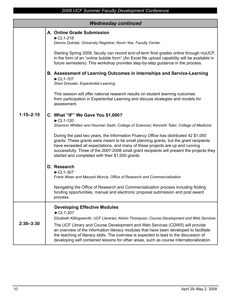| <b>Wednesday continued</b> |                                                                                                                                                                                                                                                                                                                                                                                                                                                                                                                                    |  |
|----------------------------|------------------------------------------------------------------------------------------------------------------------------------------------------------------------------------------------------------------------------------------------------------------------------------------------------------------------------------------------------------------------------------------------------------------------------------------------------------------------------------------------------------------------------------|--|
|                            | A. Online Grade Submission<br>$\blacktriangleright$ CL1-218<br>Dennis Dulniak, University Registrar; Kevin Yee, Faculty Center                                                                                                                                                                                                                                                                                                                                                                                                     |  |
| $1:15 - 2:15$              | Starting Spring 2008, faculty can record end-of-term final grades online through myUCF,<br>in the form of an "online bubble form" (An Excel file upload capability will be available in<br>future semesters). This workshop provides step-by-step guidance in the process.                                                                                                                                                                                                                                                         |  |
|                            | B. Assessment of Learning Outcomes in Internships and Service-Learning<br>$\blacktriangleright$ CL1-107<br>Sheri Dressler, Experiential Learning                                                                                                                                                                                                                                                                                                                                                                                   |  |
|                            | This session will offer national research results on student learning outcomes<br>from participation in Experiential Learning and discuss strategies and models for<br>assessment.                                                                                                                                                                                                                                                                                                                                                 |  |
|                            | C. What "IF" We Gave You \$1,000?<br>$\blacktriangleright$ CL1-120<br>Shannon Whitten and Houman Sadri, College of Sciences; Kenneth Teter, College of Medicine                                                                                                                                                                                                                                                                                                                                                                    |  |
|                            | During the past two years, the Information Fluency Office has distributed 42 \$1,000<br>grants. These grants were meant to be small planning grants, but the grant recipients<br>have exceeded all expectations, and many of these projects are up and running<br>successfully. Three of the 2007-2008 small grant recipients will present the projects they<br>started and completed with their \$1,000 grants.                                                                                                                   |  |
|                            | D. Research<br>$\blacktriangleright$ CL1-307<br>Frank Wiser and Marysol Murcia, Office of Research and Commercialization                                                                                                                                                                                                                                                                                                                                                                                                           |  |
|                            | Navigating the Office of Research and Commercialization process including finding<br>funding opportunities, manual and electronic proposal submission and post award<br>process.                                                                                                                                                                                                                                                                                                                                                   |  |
| $2:30 - 3:30$              | <b>Developing Effective Modules</b><br>$\blacktriangleright$ CL1-307<br>Elizabeth Killingsworth, UCF Libraries; Kelvin Thompson, Course Development and Web Services<br>The UCF Library and Course Development and Web Services (CDWS) will provide<br>an overview of the information literacy modules that have been developed to facilitate<br>the teaching of literacy skills. The overview is expected to lead to the discussion of<br>developing self contained lessons for other areas, such as course internationalization. |  |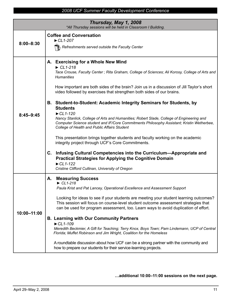| Thursday, May 1, 2008<br>*All Thursday sessions will be held in Classroom I Building. |                                                                                                                                                                                                                                                                                                                                                                                                                                                                                                                                                                                                                                                                                                                                                                                                                                                                                                                                                                                                                                                                                                                |
|---------------------------------------------------------------------------------------|----------------------------------------------------------------------------------------------------------------------------------------------------------------------------------------------------------------------------------------------------------------------------------------------------------------------------------------------------------------------------------------------------------------------------------------------------------------------------------------------------------------------------------------------------------------------------------------------------------------------------------------------------------------------------------------------------------------------------------------------------------------------------------------------------------------------------------------------------------------------------------------------------------------------------------------------------------------------------------------------------------------------------------------------------------------------------------------------------------------|
| $8:00 - 8:30$                                                                         | <b>Coffee and Conversation</b><br>$\blacktriangleright$ CL1-207<br>Refreshments served outside the Faculty Center                                                                                                                                                                                                                                                                                                                                                                                                                                                                                                                                                                                                                                                                                                                                                                                                                                                                                                                                                                                              |
| $8:45 - 9:45$                                                                         | A. Exercising for a Whole New Mind<br>$\blacktriangleright$ CL1-218<br>Tace Crouse, Faculty Center ; Rita Graham, College of Sciences; Ali Korosy, College of Arts and<br><b>Humanities</b><br>How important are both sides of the brain? Join us in a discussion of Jill Taylor's short<br>video followed by exercises that strengthen both sides of our brains.<br>B. Student-to-Student: Academic Integrity Seminars for Students, by<br><b>Students</b><br>$\blacktriangleright$ CL1-120<br>Nancy Stanlick, College of Arts and Humanities; Robert Slade, College of Engineering and<br>Computer Science student and IF/Core Commitments Philosophy Assistant; Kristin Wetherbee,<br>College of Health and Public Affairs Student<br>This presentation brings together students and faculty working on the academic<br>integrity project through UCF's Core Commitments.<br>C.<br>Infusing Cultural Competencies into the Curriculum—Appropriate and<br><b>Practical Strategies for Applying the Cognitive Domain</b><br>$\blacktriangleright$ CL1-122<br>Cristine Clifford Cullinan, University of Oregon |
| 10:00-11:00                                                                           | <b>Measuring Success</b><br>А.<br>$\blacktriangleright$ CL1-218<br>Paula Krist and Pat Lancey, Operational Excellence and Assessment Support<br>Looking for ideas to see if your students are meeting your student learning outcomes?<br>This session will focus on course-level student outcome assessment strategies that<br>can be used for program assessment, too. Learn ways to avoid duplication of effort.<br><b>B. Learning with Our Community Partners</b><br>$\blacktriangleright$ CL1-109<br>Meredith Beckmier, A Gift for Teaching; Terry Knox, Boys Town; Pam Lindemann, UCP of Central<br>Florida; Muffet Robinson and Jim Wright, Coalition for the Homeless<br>A roundtable discussion about how UCF can be a strong partner with the community and<br>how to prepare our students for their service-learning projects.                                                                                                                                                                                                                                                                       |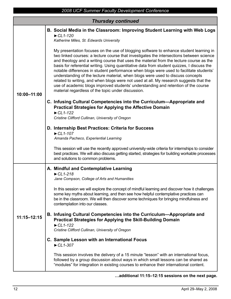| 2008 UCF Summer Faculty Development Conference |                                                                                                                                                                                                                                                                                                                                                                                                                                                                                                                                                                                                                                                                                                                                                                                                 |  |
|------------------------------------------------|-------------------------------------------------------------------------------------------------------------------------------------------------------------------------------------------------------------------------------------------------------------------------------------------------------------------------------------------------------------------------------------------------------------------------------------------------------------------------------------------------------------------------------------------------------------------------------------------------------------------------------------------------------------------------------------------------------------------------------------------------------------------------------------------------|--|
| <b>Thursday continued</b>                      |                                                                                                                                                                                                                                                                                                                                                                                                                                                                                                                                                                                                                                                                                                                                                                                                 |  |
|                                                | B. Social Media in the Classroom: Improving Student Learning with Web Logs<br>$\blacktriangleright$ CL1-120<br>Katherine Miles, St. Edwards University                                                                                                                                                                                                                                                                                                                                                                                                                                                                                                                                                                                                                                          |  |
| 10:00-11:00                                    | My presentation focuses on the use of blogging software to enhance student learning in<br>two linked courses: a lecture course that investigates the intersections between science<br>and theology and a writing course that uses the material from the lecture course as the<br>basis for referential writing. Using quantitative data from student quizzes, I discuss the<br>notable differences in student performance when blogs were used to facilitate students'<br>understanding of the lecture material, when blogs were used to discuss concepts<br>related to writing, and when blogs were not used at all. My research suggests that the<br>use of academic blogs improved students' understanding and retention of the course<br>material regardless of the topic under discussion. |  |
|                                                | C. Infusing Cultural Competencies into the Curriculum—Appropriate and<br><b>Practical Strategies for Applying the Affective Domain</b><br>$\blacktriangleright$ CL1-122                                                                                                                                                                                                                                                                                                                                                                                                                                                                                                                                                                                                                         |  |
|                                                | Cristine Clifford Cullinan, University of Oregon                                                                                                                                                                                                                                                                                                                                                                                                                                                                                                                                                                                                                                                                                                                                                |  |
|                                                | D. Internship Best Practices: Criteria for Success<br>$\blacktriangleright$ CL1-107                                                                                                                                                                                                                                                                                                                                                                                                                                                                                                                                                                                                                                                                                                             |  |
|                                                | Amanda Pacheco, Experiential Learning                                                                                                                                                                                                                                                                                                                                                                                                                                                                                                                                                                                                                                                                                                                                                           |  |
|                                                | This session will use the recently approved university-wide criteria for internships to consider<br>best practices. We will also discuss getting started, strategies for building workable processes<br>and solutions to common problems.                                                                                                                                                                                                                                                                                                                                                                                                                                                                                                                                                       |  |
|                                                | A. Mindful and Contemplative Learning                                                                                                                                                                                                                                                                                                                                                                                                                                                                                                                                                                                                                                                                                                                                                           |  |
|                                                | $\blacktriangleright$ CL1-218<br>Jane Compson, College of Arts and Humanities                                                                                                                                                                                                                                                                                                                                                                                                                                                                                                                                                                                                                                                                                                                   |  |
| $11:15 - 12:15$                                | In this session we will explore the concept of mindful learning and discover how it challenges<br>some key myths about learning, and then see how helpful contemplative practices can<br>be in the classroom. We will then discover some techniques for bringing mindfulness and<br>contemplation into our classes.                                                                                                                                                                                                                                                                                                                                                                                                                                                                             |  |
|                                                | B. Infusing Cultural Competencies into the Curriculum-Appropriate and<br><b>Practical Strategies for Applying the Skill-Building Domain</b><br>$\blacktriangleright$ CL1-122<br>Cristine Clifford Cullinan, University of Oregon                                                                                                                                                                                                                                                                                                                                                                                                                                                                                                                                                                |  |
|                                                | C. Sample Lesson with an International Focus<br>$\blacktriangleright$ CL1-307                                                                                                                                                                                                                                                                                                                                                                                                                                                                                                                                                                                                                                                                                                                   |  |
|                                                | This session involves the delivery of a 15 minute "lesson" with an international focus,<br>followed by a group discussion about ways in which small lessons can be shared as<br>"modules" for integration in existing courses to enhance their international content.                                                                                                                                                                                                                                                                                                                                                                                                                                                                                                                           |  |

**…additional 11:15–12:15 sessions on the next page.**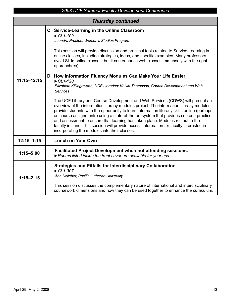| <b>Thursday continued</b> |                                                                                                                                                                                                                                                                                                                                                                                                                                                                                                                                                                                                                                                                                                                                                                                                                                                                                                                                                                                                                                                                                                                                                                                                                                  |  |
|---------------------------|----------------------------------------------------------------------------------------------------------------------------------------------------------------------------------------------------------------------------------------------------------------------------------------------------------------------------------------------------------------------------------------------------------------------------------------------------------------------------------------------------------------------------------------------------------------------------------------------------------------------------------------------------------------------------------------------------------------------------------------------------------------------------------------------------------------------------------------------------------------------------------------------------------------------------------------------------------------------------------------------------------------------------------------------------------------------------------------------------------------------------------------------------------------------------------------------------------------------------------|--|
| $11:15 - 12:15$           | C. Service-Learning in the Online Classroom<br>$\blacktriangleright$ CL1-109<br>Leandra Preston, Women's Studies Program<br>This session will provide discussion and practical tools related to Service-Learning in<br>online classes, including strategies, ideas, and specific examples. Many professors<br>avoid SL in online classes, but it can enhance web classes immensely with the right<br>approach(es).<br>D. How Information Fluency Modules Can Make Your Life Easier<br>$\blacktriangleright$ CL1-120<br>Elizabeth Killingsworth, UCF Libraries; Kelvin Thompson, Course Development and Web<br><b>Services</b><br>The UCF Library and Course Development and Web Services (CDWS) will present an<br>overview of the information literacy modules project. The information literacy modules<br>provide students with the opportunity to learn information literacy skills online (perhaps<br>as course assignments) using a state-of-the-art system that provides content, practice<br>and assessment to ensure that learning has taken place. Modules roll out to the<br>faculty in June. This session will provide access information for faculty interested in<br>incorporating the modules into their classes. |  |
| $12:15 - 1:15$            | <b>Lunch on Your Own</b>                                                                                                                                                                                                                                                                                                                                                                                                                                                                                                                                                                                                                                                                                                                                                                                                                                                                                                                                                                                                                                                                                                                                                                                                         |  |
| $1:15 - 5:00$             | Facilitated Project Development when not attending sessions.<br>Rooms listed inside the front cover are available for your use.                                                                                                                                                                                                                                                                                                                                                                                                                                                                                                                                                                                                                                                                                                                                                                                                                                                                                                                                                                                                                                                                                                  |  |
| $1:15 - 2:15$             | <b>Strategies and Pitfalls for Interdisciplinary Collaboration</b><br>$\blacktriangleright$ CL1-307<br>Ann Kelleher, Pacific Lutheran University<br>This session discusses the complementary nature of international and interdisciplinary<br>coursework dimensions and how they can be used together to enhance the curriculum.                                                                                                                                                                                                                                                                                                                                                                                                                                                                                                                                                                                                                                                                                                                                                                                                                                                                                                 |  |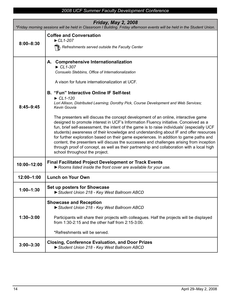| <b>Friday, May 2, 2008</b><br>*Friday morning sessions will be held in Classroom I Building. Friday afternoon events will be held in the Student Union. |                                                                                                                                                                                                                                                                                                                                                                                                                                                                                                                                                                                                                                                                                                                                                                                                                                                                                                                                                                                                                                                                                 |
|---------------------------------------------------------------------------------------------------------------------------------------------------------|---------------------------------------------------------------------------------------------------------------------------------------------------------------------------------------------------------------------------------------------------------------------------------------------------------------------------------------------------------------------------------------------------------------------------------------------------------------------------------------------------------------------------------------------------------------------------------------------------------------------------------------------------------------------------------------------------------------------------------------------------------------------------------------------------------------------------------------------------------------------------------------------------------------------------------------------------------------------------------------------------------------------------------------------------------------------------------|
| $8:00 - 8:30$                                                                                                                                           | <b>Coffee and Conversation</b><br>$\blacktriangleright$ CL1-207<br>Refreshments served outside the Faculty Center                                                                                                                                                                                                                                                                                                                                                                                                                                                                                                                                                                                                                                                                                                                                                                                                                                                                                                                                                               |
| $8:45 - 9:45$                                                                                                                                           | A. Comprehensive Internationalization<br>$\blacktriangleright$ CL1-307<br>Consuelo Stebbins, Office of Internationalization<br>A vison for future internationalization at UCF.<br><b>B. "Fun" Interactive Online IF Self-test</b><br>$\blacktriangleright$ CL1-120<br>Lori Allison, Distributed Learning; Dorothy Pick, Course Development and Web Services;<br><b>Kevin Gouvia</b><br>The presenters will discuss the concept development of an online, interactive game<br>designed to promote interest in UCF's Information Fluency initiative. Conceived as a<br>fun, brief self-assessment, the intent of the game is to raise individuals' (especially UCF<br>students) awareness of their knowledge and understanding about IF and offer resources<br>for further exploration based on their game experiences. In addition to game paths and<br>content, the presenters will discuss the successes and challenges arising from inception<br>through proof of concept, as well as their partnership and collaboration with a local high<br>school throughout the project. |
| 10:00-12:00                                                                                                                                             | <b>Final Facilitated Project Development or Track Events</b><br>Rooms listed inside the front cover are available for your use.                                                                                                                                                                                                                                                                                                                                                                                                                                                                                                                                                                                                                                                                                                                                                                                                                                                                                                                                                 |
| 12:00-1:00                                                                                                                                              | <b>Lunch on Your Own</b>                                                                                                                                                                                                                                                                                                                                                                                                                                                                                                                                                                                                                                                                                                                                                                                                                                                                                                                                                                                                                                                        |
| $1:00 - 1:30$                                                                                                                                           | Set up posters for Showcase<br>Student Union 218 - Key West Ballroom ABCD                                                                                                                                                                                                                                                                                                                                                                                                                                                                                                                                                                                                                                                                                                                                                                                                                                                                                                                                                                                                       |
| $1:30 - 3:00$                                                                                                                                           | <b>Showcase and Reception</b><br>Student Union 218 - Key West Ballroom ABCD<br>Participants will share their projects with colleagues. Half the projects will be displayed<br>from $1:30-2:15$ and the other half from $2:15-3:00$ .<br>*Refreshments will be served.                                                                                                                                                                                                                                                                                                                                                                                                                                                                                                                                                                                                                                                                                                                                                                                                           |
| $3:00 - 3:30$                                                                                                                                           | <b>Closing, Conference Evaluation, and Door Prizes</b><br>Student Union 218 - Key West Ballroom ABCD                                                                                                                                                                                                                                                                                                                                                                                                                                                                                                                                                                                                                                                                                                                                                                                                                                                                                                                                                                            |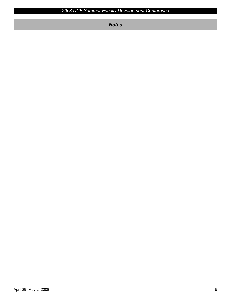*Notes*